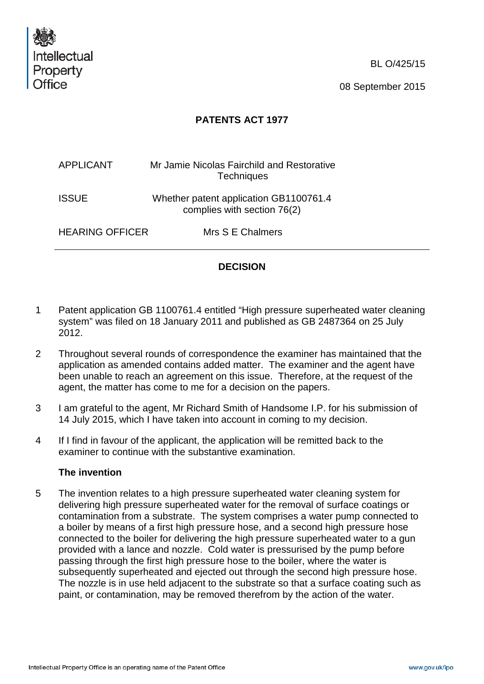

BL O/425/15

08 September 2015

## **PATENTS ACT 1977**

| <b>APPLICANT</b>       | Mr Jamie Nicolas Fairchild and Restorative<br><b>Techniques</b>       |
|------------------------|-----------------------------------------------------------------------|
| <b>ISSUE</b>           | Whether patent application GB1100761.4<br>complies with section 76(2) |
| <b>HEARING OFFICER</b> | Mrs S E Chalmers                                                      |

# **DECISION**

- 1 Patent application GB 1100761.4 entitled "High pressure superheated water cleaning system" was filed on 18 January 2011 and published as GB 2487364 on 25 July 2012.
- 2 Throughout several rounds of correspondence the examiner has maintained that the application as amended contains added matter. The examiner and the agent have been unable to reach an agreement on this issue. Therefore, at the request of the agent, the matter has come to me for a decision on the papers.
- 3 I am grateful to the agent, Mr Richard Smith of Handsome I.P. for his submission of 14 July 2015, which I have taken into account in coming to my decision.
- 4 If I find in favour of the applicant, the application will be remitted back to the examiner to continue with the substantive examination.

### **The invention**

5 The invention relates to a high pressure superheated water cleaning system for delivering high pressure superheated water for the removal of surface coatings or contamination from a substrate. The system comprises a water pump connected to a boiler by means of a first high pressure hose, and a second high pressure hose connected to the boiler for delivering the high pressure superheated water to a gun provided with a lance and nozzle. Cold water is pressurised by the pump before passing through the first high pressure hose to the boiler, where the water is subsequently superheated and ejected out through the second high pressure hose. The nozzle is in use held adjacent to the substrate so that a surface coating such as paint, or contamination, may be removed therefrom by the action of the water.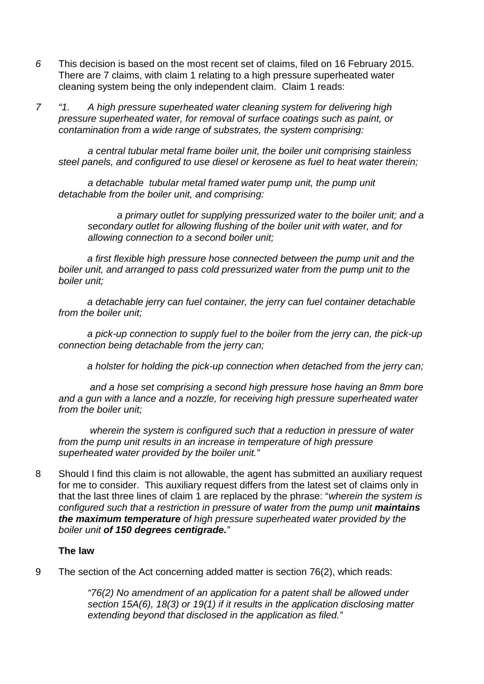- *6* This decision is based on the most recent set of claims, filed on 16 February 2015. There are 7 claims, with claim 1 relating to a high pressure superheated water cleaning system being the only independent claim. Claim 1 reads:
- *7 "1. A high pressure superheated water cleaning system for delivering high pressure superheated water, for removal of surface coatings such as paint, or contamination from a wide range of substrates, the system comprising:*

*a central tubular metal frame boiler unit, the boiler unit comprising stainless steel panels, and configured to use diesel or kerosene as fuel to heat water therein;*

*a detachable tubular metal framed water pump unit, the pump unit detachable from the boiler unit, and comprising:*

*a primary outlet for supplying pressurized water to the boiler unit; and a secondary outlet for allowing flushing of the boiler unit with water, and for allowing connection to a second boiler unit;*

*a first flexible high pressure hose connected between the pump unit and the boiler unit, and arranged to pass cold pressurized water from the pump unit to the boiler unit;*

*a detachable jerry can fuel container, the jerry can fuel container detachable from the boiler unit;*

*a pick-up connection to supply fuel to the boiler from the jerry can, the pick-up connection being detachable from the jerry can;*

*a holster for holding the pick-up connection when detached from the jerry can;*

*and a hose set comprising a second high pressure hose having an 8mm bore and a gun with a lance and a nozzle, for receiving high pressure superheated water from the boiler unit;*

*wherein the system is configured such that a reduction in pressure of water from the pump unit results in an increase in temperature of high pressure superheated water provided by the boiler unit."*

8 Should I find this claim is not allowable, the agent has submitted an auxiliary request for me to consider. This auxiliary request differs from the latest set of claims only in that the last three lines of claim 1 are replaced by the phrase: "*wherein the system is configured such that a restriction in pressure of water from the pump unit maintains the maximum temperature of high pressure superheated water provided by the boiler unit of 150 degrees centigrade."*

### **The law**

9 The section of the Act concerning added matter is section 76(2), which reads:

*"76(2) No amendment of an application for a patent shall be allowed under section 15A(6), 18(3) or 19(1) if it results in the application disclosing matter extending beyond that disclosed in the application as filed."*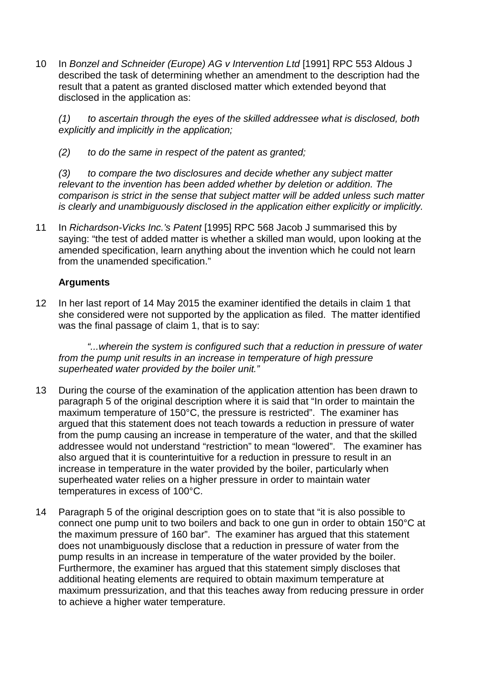10 In *Bonzel and Schneider (Europe) AG v Intervention Ltd* [1991] RPC 553 Aldous J described the task of determining whether an amendment to the description had the result that a patent as granted disclosed matter which extended beyond that disclosed in the application as:

*(1) to ascertain through the eyes of the skilled addressee what is disclosed, both explicitly and implicitly in the application;* 

*(2) to do the same in respect of the patent as granted;*

*(3) to compare the two disclosures and decide whether any subject matter relevant to the invention has been added whether by deletion or addition. The comparison is strict in the sense that subject matter will be added unless such matter is clearly and unambiguously disclosed in the application either explicitly or implicitly.*

11 In *Richardson-Vicks Inc.'s Patent* [1995] RPC 568 Jacob J summarised this by saying: "the test of added matter is whether a skilled man would, upon looking at the amended specification, learn anything about the invention which he could not learn from the unamended specification."

## **Arguments**

12 In her last report of 14 May 2015 the examiner identified the details in claim 1 that she considered were not supported by the application as filed. The matter identified was the final passage of claim 1, that is to say:

*"...wherein the system is configured such that a reduction in pressure of water from the pump unit results in an increase in temperature of high pressure superheated water provided by the boiler unit."*

- 13 During the course of the examination of the application attention has been drawn to paragraph 5 of the original description where it is said that "In order to maintain the maximum temperature of 150°C, the pressure is restricted". The examiner has argued that this statement does not teach towards a reduction in pressure of water from the pump causing an increase in temperature of the water, and that the skilled addressee would not understand "restriction" to mean "lowered". The examiner has also argued that it is counterintuitive for a reduction in pressure to result in an increase in temperature in the water provided by the boiler, particularly when superheated water relies on a higher pressure in order to maintain water temperatures in excess of 100°C.
- 14 Paragraph 5 of the original description goes on to state that "it is also possible to connect one pump unit to two boilers and back to one gun in order to obtain 150°C at the maximum pressure of 160 bar". The examiner has argued that this statement does not unambiguously disclose that a reduction in pressure of water from the pump results in an increase in temperature of the water provided by the boiler. Furthermore, the examiner has argued that this statement simply discloses that additional heating elements are required to obtain maximum temperature at maximum pressurization, and that this teaches away from reducing pressure in order to achieve a higher water temperature.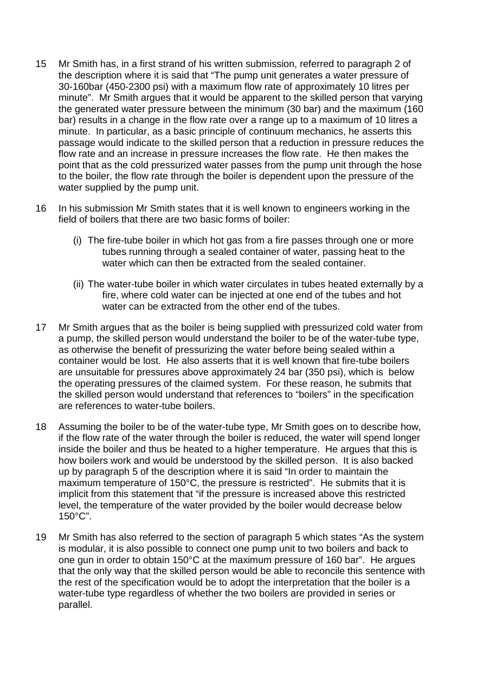- 15 Mr Smith has, in a first strand of his written submission, referred to paragraph 2 of the description where it is said that "The pump unit generates a water pressure of 30-160bar (450-2300 psi) with a maximum flow rate of approximately 10 litres per minute". Mr Smith argues that it would be apparent to the skilled person that varying the generated water pressure between the minimum (30 bar) and the maximum (160 bar) results in a change in the flow rate over a range up to a maximum of 10 litres a minute. In particular, as a basic principle of continuum mechanics, he asserts this passage would indicate to the skilled person that a reduction in pressure reduces the flow rate and an increase in pressure increases the flow rate. He then makes the point that as the cold pressurized water passes from the pump unit through the hose to the boiler, the flow rate through the boiler is dependent upon the pressure of the water supplied by the pump unit.
- 16 In his submission Mr Smith states that it is well known to engineers working in the field of boilers that there are two basic forms of boiler:
	- (i) The fire-tube boiler in which hot gas from a fire passes through one or more tubes running through a sealed container of water, passing heat to the water which can then be extracted from the sealed container.
	- (ii) The water-tube boiler in which water circulates in tubes heated externally by a fire, where cold water can be injected at one end of the tubes and hot water can be extracted from the other end of the tubes.
- 17 Mr Smith argues that as the boiler is being supplied with pressurized cold water from a pump, the skilled person would understand the boiler to be of the water-tube type, as otherwise the benefit of pressurizing the water before being sealed within a container would be lost. He also asserts that it is well known that fire-tube boilers are unsuitable for pressures above approximately 24 bar (350 psi), which is below the operating pressures of the claimed system. For these reason, he submits that the skilled person would understand that references to "boilers" in the specification are references to water-tube boilers.
- 18 Assuming the boiler to be of the water-tube type, Mr Smith goes on to describe how, if the flow rate of the water through the boiler is reduced, the water will spend longer inside the boiler and thus be heated to a higher temperature. He argues that this is how boilers work and would be understood by the skilled person. It is also backed up by paragraph 5 of the description where it is said "In order to maintain the maximum temperature of 150°C, the pressure is restricted". He submits that it is implicit from this statement that "if the pressure is increased above this restricted level, the temperature of the water provided by the boiler would decrease below 150°C".
- 19 Mr Smith has also referred to the section of paragraph 5 which states "As the system is modular, it is also possible to connect one pump unit to two boilers and back to one gun in order to obtain 150°C at the maximum pressure of 160 bar". He argues that the only way that the skilled person would be able to reconcile this sentence with the rest of the specification would be to adopt the interpretation that the boiler is a water-tube type regardless of whether the two boilers are provided in series or parallel.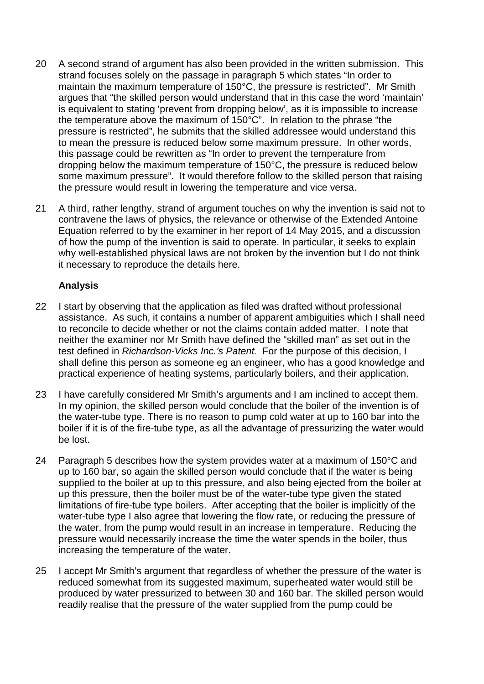- 20 A second strand of argument has also been provided in the written submission. This strand focuses solely on the passage in paragraph 5 which states "In order to maintain the maximum temperature of 150°C, the pressure is restricted". Mr Smith argues that "the skilled person would understand that in this case the word 'maintain' is equivalent to stating 'prevent from dropping below', as it is impossible to increase the temperature above the maximum of 150°C". In relation to the phrase "the pressure is restricted", he submits that the skilled addressee would understand this to mean the pressure is reduced below some maximum pressure. In other words, this passage could be rewritten as "In order to prevent the temperature from dropping below the maximum temperature of 150°C, the pressure is reduced below some maximum pressure". It would therefore follow to the skilled person that raising the pressure would result in lowering the temperature and vice versa.
- 21 A third, rather lengthy, strand of argument touches on why the invention is said not to contravene the laws of physics, the relevance or otherwise of the Extended Antoine Equation referred to by the examiner in her report of 14 May 2015, and a discussion of how the pump of the invention is said to operate. In particular, it seeks to explain why well-established physical laws are not broken by the invention but I do not think it necessary to reproduce the details here.

### **Analysis**

- 22 I start by observing that the application as filed was drafted without professional assistance. As such, it contains a number of apparent ambiguities which I shall need to reconcile to decide whether or not the claims contain added matter. I note that neither the examiner nor Mr Smith have defined the "skilled man" as set out in the test defined in *Richardson-Vicks Inc.'s Patent.* For the purpose of this decision, I shall define this person as someone eg an engineer, who has a good knowledge and practical experience of heating systems, particularly boilers, and their application.
- 23 I have carefully considered Mr Smith's arguments and I am incIined to accept them. In my opinion, the skilled person would conclude that the boiler of the invention is of the water-tube type. There is no reason to pump cold water at up to 160 bar into the boiler if it is of the fire-tube type, as all the advantage of pressurizing the water would be lost.
- 24 Paragraph 5 describes how the system provides water at a maximum of 150°C and up to 160 bar, so again the skilled person would conclude that if the water is being supplied to the boiler at up to this pressure, and also being ejected from the boiler at up this pressure, then the boiler must be of the water-tube type given the stated limitations of fire-tube type boilers. After accepting that the boiler is implicitly of the water-tube type I also agree that lowering the flow rate, or reducing the pressure of the water, from the pump would result in an increase in temperature. Reducing the pressure would necessarily increase the time the water spends in the boiler, thus increasing the temperature of the water.
- 25 I accept Mr Smith's argument that regardless of whether the pressure of the water is reduced somewhat from its suggested maximum, superheated water would still be produced by water pressurized to between 30 and 160 bar. The skilled person would readily realise that the pressure of the water supplied from the pump could be